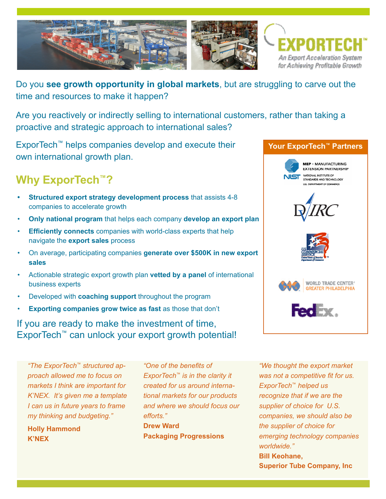

Do you **see growth opportunity in global markets**, but are struggling to carve out the time and resources to make it happen?

Are you reactively or indirectly selling to international customers, rather than taking a proactive and strategic approach to international sales?

ExporTech™ helps companies develop and execute their own international growth plan.

# **Why ExporTech™?**

- **• Structured export strategy development process** that assists 4-8 companies to accelerate growth
- **Only national program** that helps each company **develop an export plan**
- **Efficiently connects** companies with world-class experts that help navigate the **export sales** process
- On average, participating companies **generate over \$500K in new export sales**
- Actionable strategic export growth plan **vetted by a panel** of international business experts
- Developed with **coaching support** throughout the program
- **Exporting companies grow twice as fast** as those that don't

If you are ready to make the investment of time, ExporTech™ can unlock your export growth potential!

*"The ExporTech™ structured approach allowed me to focus on markets I think are important for K'NEX. It's given me a template I can us in future years to frame my thinking and budgeting."*

**Holly Hammond K'NEX**

*"One of the benefits of ExporTech™ is in the clarity it created for us around international markets for our products and where we should focus our efforts."*

**Drew Ward Packaging Progressions**

*"We thought the export market was not a competitive fit for us. ExporTech™ helped us recognize that if we are the supplier of choice for U.S. companies, we should also be the supplier of choice for emerging technology companies worldwide."* **Bill Keohane, Superior Tube Company, Inc**

**Your ExporTech™ Partners MEP · MANUFACTURING EXTENSION PARTNERSHIP** NATIONAL INSTITUTE OF STANDARDS AND TECHNOLOGY U.S. DEPARTMENT OF COMMERCE **WORLD TRADE CENTER<sup>®</sup> REATER PHILADELPHIA FedEx**